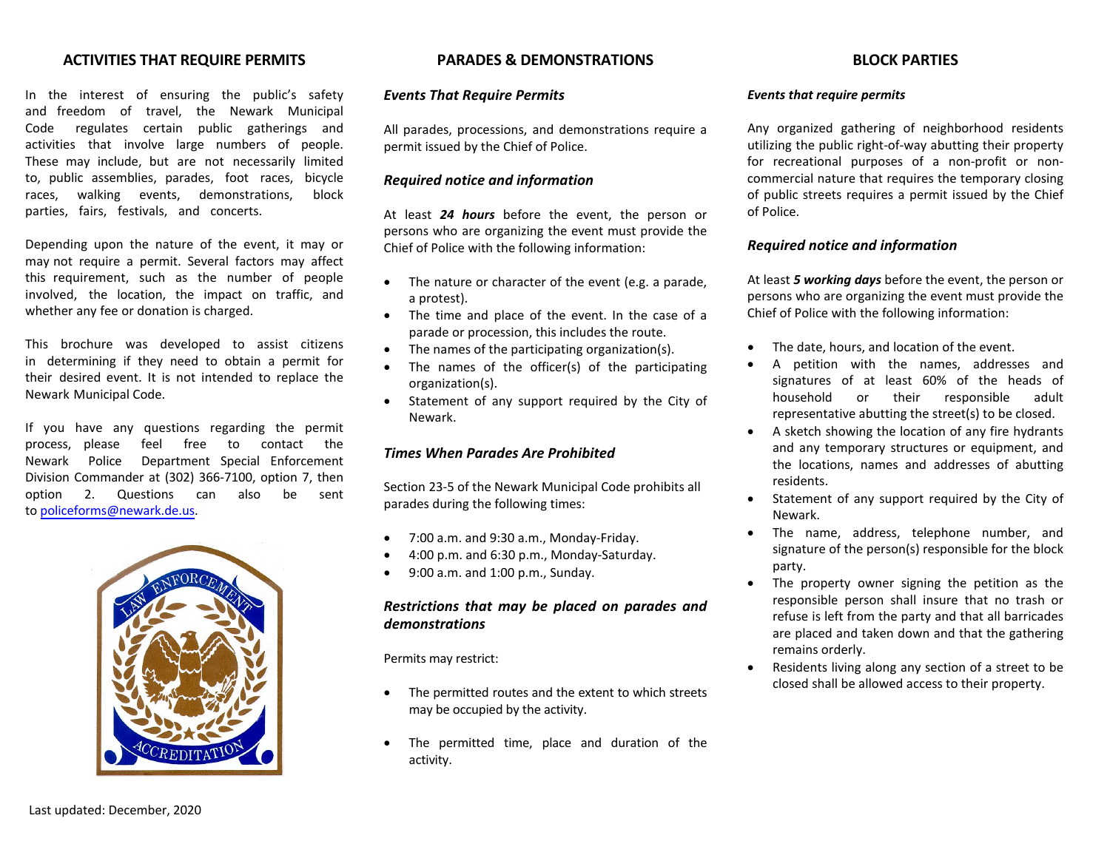## **ACTIVITIES THAT REQUIRE PERMITS**

In the interest of ensuring the public's safety and freedom of travel, the Newark Municipal Code regulates certain public gatherings and activities that involve large numbers of people. These may include, but are not necessarily limited to, public assemblies, parades, foot races, bicycle races, walking events, demonstrations, block parties, fairs, festivals, and concerts.

Depending upon the nature of the event, it may or may not require a permit. Several factors may affect this requirement, such as the number of people involved, the location, the impact on traffic, and whether any fee or donation is charged.

This brochure was developed to assist citizens in determining if they need to obtain a permit for their desired event. It is not intended to replace the Newark Municipal Code.

If you have any questions regarding the permit process, please feel free to contact the Newark Police Department Special Enforcement Division Commander at (302) 366-7100, option 7, then option 2. Questions can also be sent to [policeforms@newark.de.us.](mailto:policeforms@newark.de.us)



## **PARADES & DEMONSTRATIONS**

#### *Events That Require Permits*

All parades, processions, and demonstrations require a permit issued by the Chief of Police.

## *Required notice and information*

At least *24 hours* before the event, the person or persons who are organizing the event must provide the Chief of Police with the following information:

- The nature or character of the event (e.g. a parade, a protest).
- The time and place of the event. In the case of a parade or procession, this includes the route.
- The names of the participating organization(s).
- The names of the officer(s) of the participating organization(s).
- Statement of any support required by the City of Newark.

## *Times When Parades Are Prohibited*

Section 23-5 of the Newark Municipal Code prohibits all parades during the following times:

- 7:00 a.m. and 9:30 a.m., Monday-Friday.
- 4:00 p.m. and 6:30 p.m., Monday-Saturday.
- 9:00 a.m. and 1:00 p.m., Sunday.

## *Restrictions that may be placed on parades and demonstrations*

Permits may restrict:

- The permitted routes and the extent to which streets may be occupied by the activity.
- The permitted time, place and duration of the activity.

# **BLOCK PARTIES**

#### *Events that require permits*

Any organized gathering of neighborhood residents utilizing the public right-of-way abutting their property for recreational purposes of a non-profit or noncommercial nature that requires the temporary closing of public streets requires a permit issued by the Chief of Police.

#### *Required notice and information*

At least *5 working days* before the event, the person or persons who are organizing the event must provide the Chief of Police with the following information:

- The date, hours, and location of the event.
- A petition with the names, addresses and signatures of at least 60% of the heads of household or their responsible adult representative abutting the street(s) to be closed.
- A sketch showing the location of any fire hydrants and any temporary structures or equipment, and the locations, names and addresses of abutting residents.
- Statement of any support required by the City of Newark.
- The name, address, telephone number, and signature of the person(s) responsible for the block party.
- The property owner signing the petition as the responsible person shall insure that no trash or refuse is left from the party and that all barricades are placed and taken down and that the gathering remains orderly.
- Residents living along any section of a street to be closed shall be allowed access to their property.